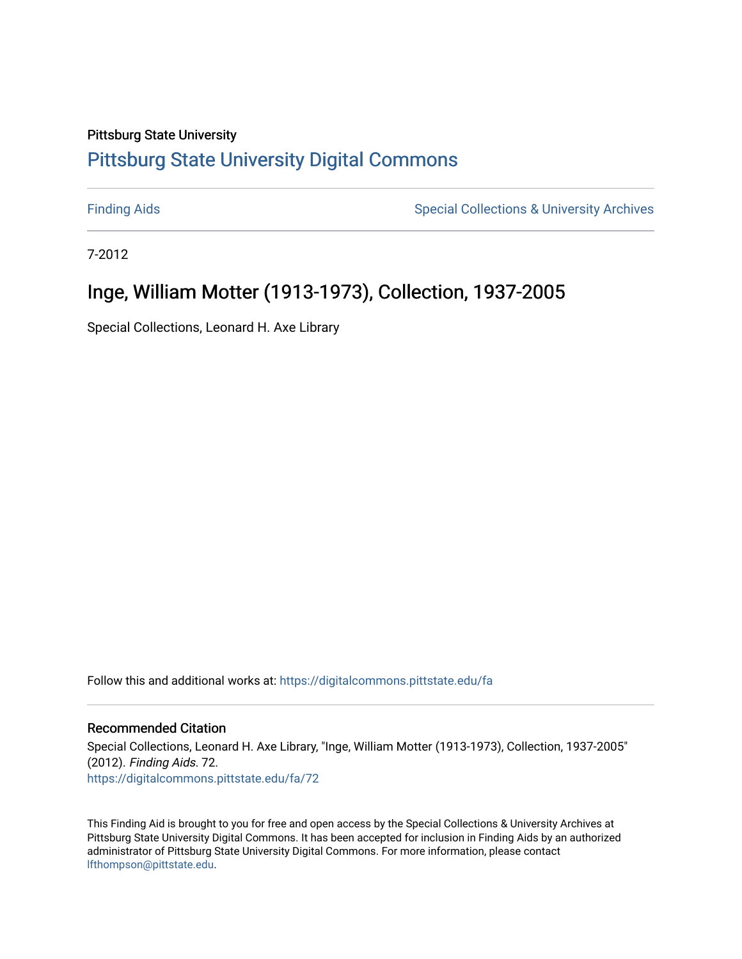# Pittsburg State University

# [Pittsburg State University Digital Commons](https://digitalcommons.pittstate.edu/)

[Finding Aids](https://digitalcommons.pittstate.edu/fa) **Special Collections & University Archives** Special Collections & University Archives

7-2012

# Inge, William Motter (1913-1973), Collection, 1937-2005

Special Collections, Leonard H. Axe Library

Follow this and additional works at: [https://digitalcommons.pittstate.edu/fa](https://digitalcommons.pittstate.edu/fa?utm_source=digitalcommons.pittstate.edu%2Ffa%2F72&utm_medium=PDF&utm_campaign=PDFCoverPages) 

# Recommended Citation

Special Collections, Leonard H. Axe Library, "Inge, William Motter (1913-1973), Collection, 1937-2005" (2012). Finding Aids. 72. [https://digitalcommons.pittstate.edu/fa/72](https://digitalcommons.pittstate.edu/fa/72?utm_source=digitalcommons.pittstate.edu%2Ffa%2F72&utm_medium=PDF&utm_campaign=PDFCoverPages) 

This Finding Aid is brought to you for free and open access by the Special Collections & University Archives at Pittsburg State University Digital Commons. It has been accepted for inclusion in Finding Aids by an authorized administrator of Pittsburg State University Digital Commons. For more information, please contact [lfthompson@pittstate.edu.](mailto:lfthompson@pittstate.edu)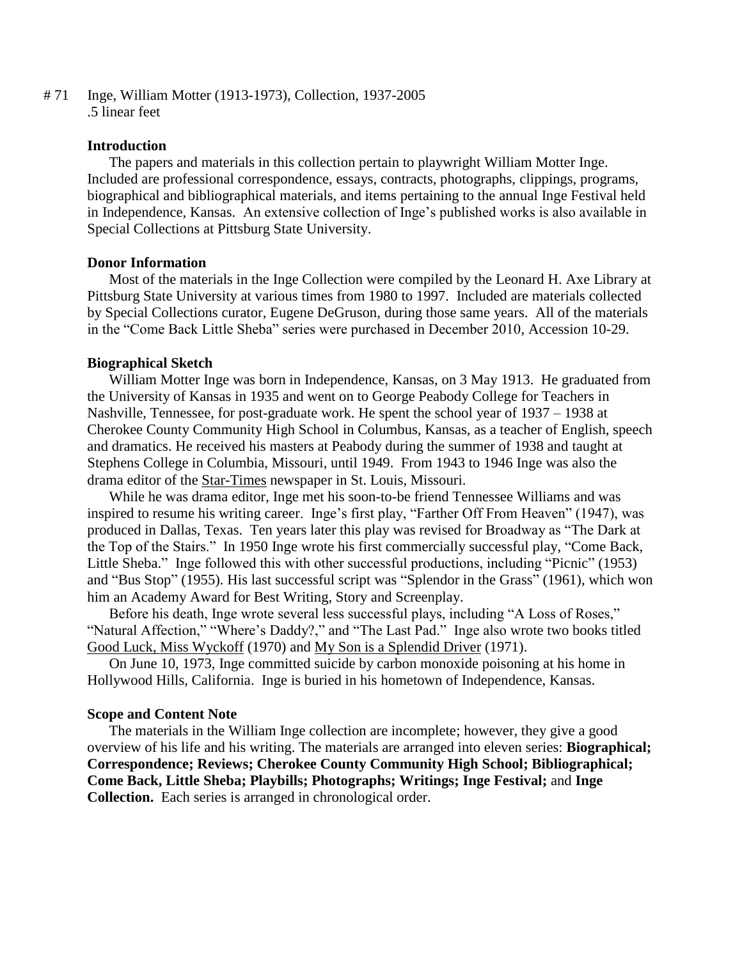# 71 Inge, William Motter (1913-1973), Collection, 1937-2005 .5 linear feet

## **Introduction**

The papers and materials in this collection pertain to playwright William Motter Inge. Included are professional correspondence, essays, contracts, photographs, clippings, programs, biographical and bibliographical materials, and items pertaining to the annual Inge Festival held in Independence, Kansas. An extensive collection of Inge's published works is also available in Special Collections at Pittsburg State University.

#### **Donor Information**

Most of the materials in the Inge Collection were compiled by the Leonard H. Axe Library at Pittsburg State University at various times from 1980 to 1997. Included are materials collected by Special Collections curator, Eugene DeGruson, during those same years. All of the materials in the "Come Back Little Sheba" series were purchased in December 2010, Accession 10-29.

#### **Biographical Sketch**

William Motter Inge was born in Independence, Kansas, on 3 May 1913. He graduated from the University of Kansas in 1935 and went on to George Peabody College for Teachers in Nashville, Tennessee, for post-graduate work. He spent the school year of 1937 – 1938 at Cherokee County Community High School in Columbus, Kansas, as a teacher of English, speech and dramatics. He received his masters at Peabody during the summer of 1938 and taught at Stephens College in Columbia, Missouri, until 1949. From 1943 to 1946 Inge was also the drama editor of the Star-Times newspaper in St. Louis, Missouri.

While he was drama editor, Inge met his soon-to-be friend Tennessee Williams and was inspired to resume his writing career. Inge's first play, "Farther Off From Heaven" (1947), was produced in Dallas, Texas. Ten years later this play was revised for Broadway as "The Dark at the Top of the Stairs." In 1950 Inge wrote his first commercially successful play, "Come Back, Little Sheba." Inge followed this with other successful productions, including "Picnic" (1953) and "Bus Stop" (1955). His last successful script was "Splendor in the Grass" (1961), which won him an Academy Award for Best Writing, Story and Screenplay.

Before his death, Inge wrote several less successful plays, including "A Loss of Roses," "Natural Affection," "Where's Daddy?," and "The Last Pad." Inge also wrote two books titled Good Luck, Miss Wyckoff (1970) and My Son is a Splendid Driver (1971).

On June 10, 1973, Inge committed suicide by carbon monoxide poisoning at his home in Hollywood Hills, California. Inge is buried in his hometown of Independence, Kansas.

#### **Scope and Content Note**

The materials in the William Inge collection are incomplete; however, they give a good overview of his life and his writing. The materials are arranged into eleven series: **Biographical; Correspondence; Reviews; Cherokee County Community High School; Bibliographical; Come Back, Little Sheba; Playbills; Photographs; Writings; Inge Festival;** and **Inge Collection.** Each series is arranged in chronological order.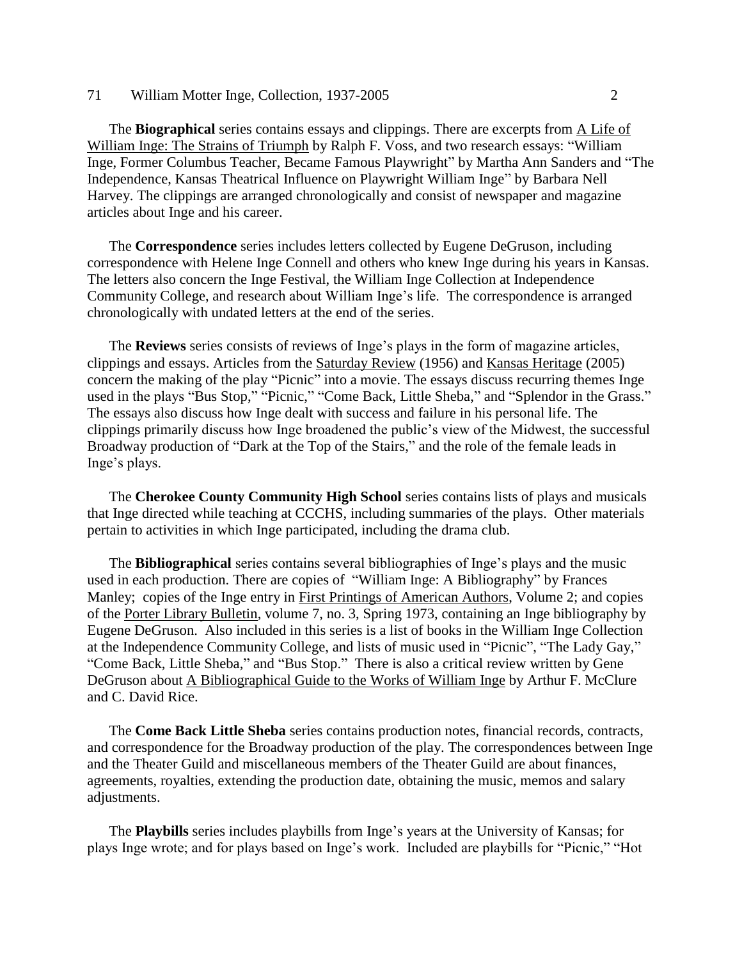#### 71 William Motter Inge, Collection, 1937-2005 2

The **Biographical** series contains essays and clippings. There are excerpts from A Life of William Inge: The Strains of Triumph by Ralph F. Voss, and two research essays: "William Inge, Former Columbus Teacher, Became Famous Playwright" by Martha Ann Sanders and "The Independence, Kansas Theatrical Influence on Playwright William Inge" by Barbara Nell Harvey. The clippings are arranged chronologically and consist of newspaper and magazine articles about Inge and his career.

The **Correspondence** series includes letters collected by Eugene DeGruson, including correspondence with Helene Inge Connell and others who knew Inge during his years in Kansas. The letters also concern the Inge Festival, the William Inge Collection at Independence Community College, and research about William Inge's life. The correspondence is arranged chronologically with undated letters at the end of the series.

The **Reviews** series consists of reviews of Inge's plays in the form of magazine articles, clippings and essays. Articles from the Saturday Review (1956) and Kansas Heritage (2005) concern the making of the play "Picnic" into a movie. The essays discuss recurring themes Inge used in the plays "Bus Stop," "Picnic," "Come Back, Little Sheba," and "Splendor in the Grass." The essays also discuss how Inge dealt with success and failure in his personal life. The clippings primarily discuss how Inge broadened the public's view of the Midwest, the successful Broadway production of "Dark at the Top of the Stairs," and the role of the female leads in Inge's plays.

The **Cherokee County Community High School** series contains lists of plays and musicals that Inge directed while teaching at CCCHS, including summaries of the plays. Other materials pertain to activities in which Inge participated, including the drama club.

The **Bibliographical** series contains several bibliographies of Inge's plays and the music used in each production. There are copies of "William Inge: A Bibliography" by Frances Manley; copies of the Inge entry in First Printings of American Authors, Volume 2; and copies of the Porter Library Bulletin, volume 7, no. 3, Spring 1973, containing an Inge bibliography by Eugene DeGruson. Also included in this series is a list of books in the William Inge Collection at the Independence Community College, and lists of music used in "Picnic", "The Lady Gay," "Come Back, Little Sheba," and "Bus Stop." There is also a critical review written by Gene DeGruson about A Bibliographical Guide to the Works of William Inge by Arthur F. McClure and C. David Rice.

The **Come Back Little Sheba** series contains production notes, financial records, contracts, and correspondence for the Broadway production of the play. The correspondences between Inge and the Theater Guild and miscellaneous members of the Theater Guild are about finances, agreements, royalties, extending the production date, obtaining the music, memos and salary adjustments.

The **Playbills** series includes playbills from Inge's years at the University of Kansas; for plays Inge wrote; and for plays based on Inge's work. Included are playbills for "Picnic," "Hot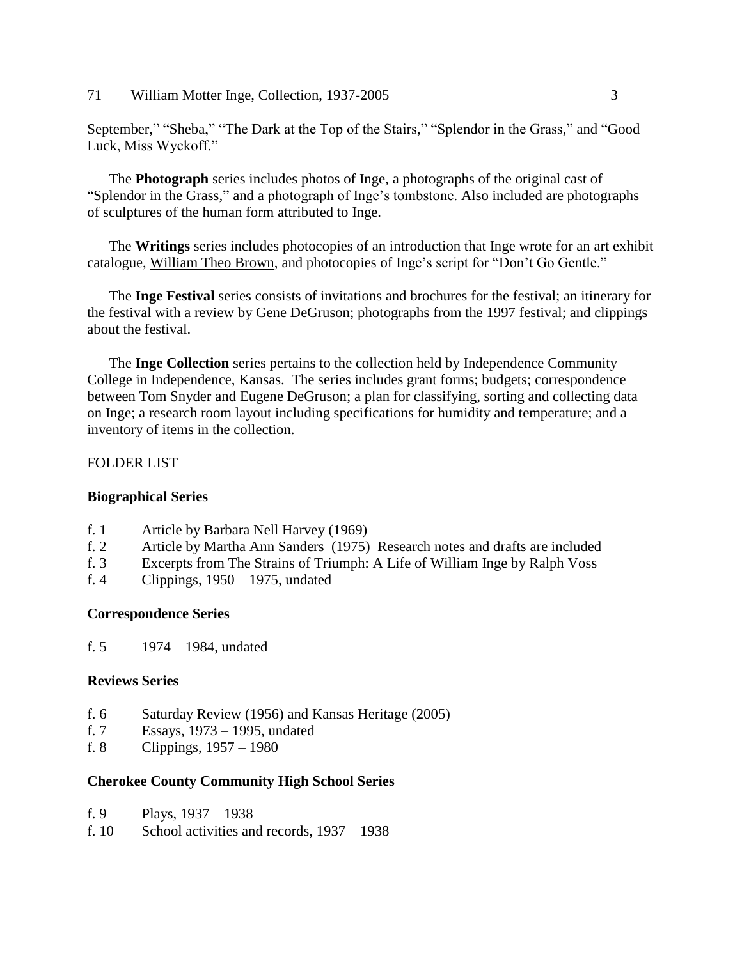71 William Motter Inge, Collection, 1937-2005 3

September," "Sheba," "The Dark at the Top of the Stairs," "Splendor in the Grass," and "Good Luck, Miss Wyckoff."

The **Photograph** series includes photos of Inge, a photographs of the original cast of "Splendor in the Grass," and a photograph of Inge's tombstone. Also included are photographs of sculptures of the human form attributed to Inge.

The **Writings** series includes photocopies of an introduction that Inge wrote for an art exhibit catalogue, William Theo Brown, and photocopies of Inge's script for "Don't Go Gentle."

The **Inge Festival** series consists of invitations and brochures for the festival; an itinerary for the festival with a review by Gene DeGruson; photographs from the 1997 festival; and clippings about the festival.

The **Inge Collection** series pertains to the collection held by Independence Community College in Independence, Kansas. The series includes grant forms; budgets; correspondence between Tom Snyder and Eugene DeGruson; a plan for classifying, sorting and collecting data on Inge; a research room layout including specifications for humidity and temperature; and a inventory of items in the collection.

# FOLDER LIST

# **Biographical Series**

- f. 1 Article by Barbara Nell Harvey (1969)
- f. 2 Article by Martha Ann Sanders (1975) Research notes and drafts are included
- f. 3 Excerpts from The Strains of Triumph: A Life of William Inge by Ralph Voss
- f. 4 Clippings, 1950 1975, undated

# **Correspondence Series**

f. 5 1974 – 1984, undated

# **Reviews Series**

- f. 6 Saturday Review (1956) and Kansas Heritage (2005)
- f. 7 Essays, 1973 1995, undated
- f. 8 Clippings, 1957 1980

# **Cherokee County Community High School Series**

- f. 9 Plays, 1937 1938
- f. 10 School activities and records, 1937 1938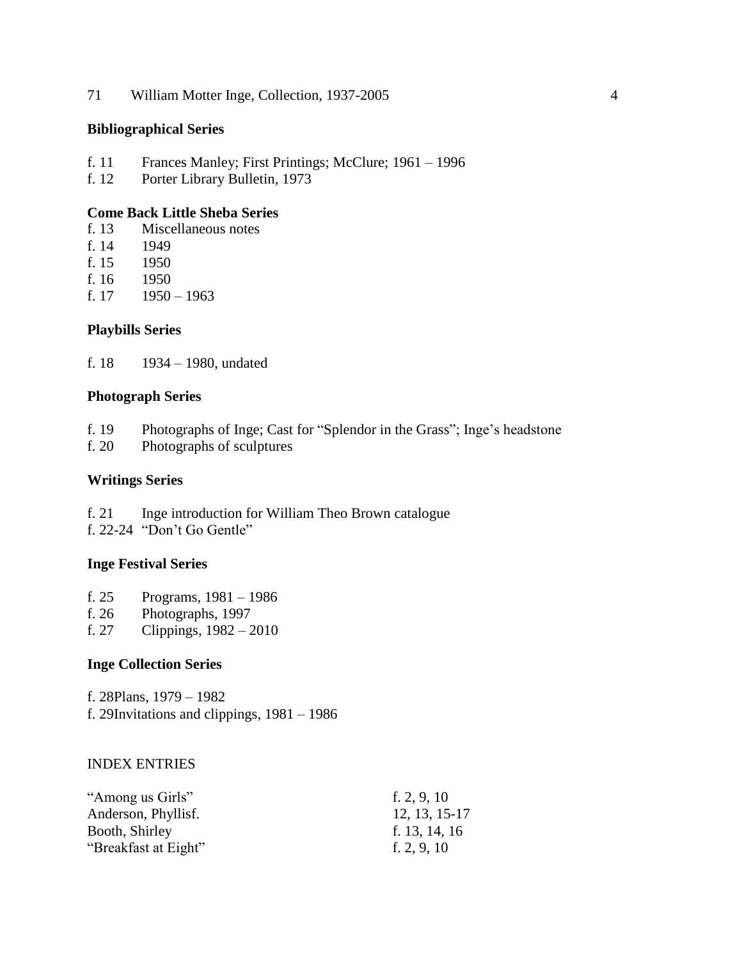71 William Motter Inge, Collection, 1937-2005 4

# **Bibliographical Series**

- f. 11 Frances Manley; First Printings; McClure; 1961 1996
- f. 12 Porter Library Bulletin, 1973

# **Come Back Little Sheba Series**

- f. 13 Miscellaneous notes
- f. 14 1949
- f. 15 1950
- f. 16 1950
- f.  $17 \quad 1950 1963$

#### **Playbills Series**

f. 18 1934 – 1980, undated

#### **Photograph Series**

- f. 19 Photographs of Inge; Cast for "Splendor in the Grass"; Inge's headstone
- f. 20 Photographs of sculptures

# **Writings Series**

- f. 21 Inge introduction for William Theo Brown catalogue
- f. 22-24 "Don't Go Gentle"

# **Inge Festival Series**

- f. 25 Programs, 1981 1986
- f. 26 Photographs, 1997
- f. 27 Clippings,  $1982 2010$

#### **Inge Collection Series**

f. 28Plans, 1979 – 1982 f. 29Invitations and clippings, 1981 – 1986

#### INDEX ENTRIES

| "Among us Girls"     | f. $2, 9, 10$ |
|----------------------|---------------|
| Anderson, Phyllisf.  | 12, 13, 15-17 |
| Booth, Shirley       | f. 13, 14, 16 |
| "Breakfast at Eight" | f. $2, 9, 10$ |